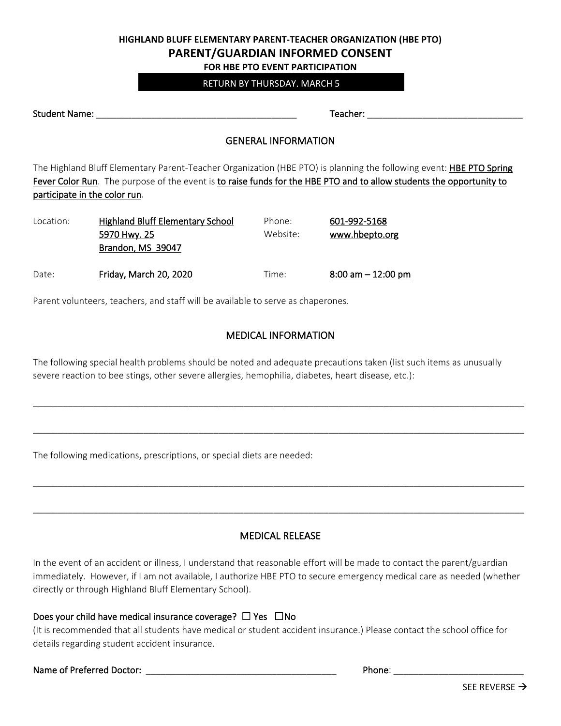### **HIGHLAND BLUFF ELEMENTARY PARENT-TEACHER ORGANIZATION (HBE PTO) PARENT/GUARDIAN INFORMED CONSENT FOR HBE PTO EVENT PARTICIPATION**

# RETURN BY THURSDAY, MARCH 5

Student Name: \_\_\_\_\_\_\_\_\_\_\_\_\_\_\_\_\_\_\_\_\_\_\_\_\_\_\_\_\_\_\_\_\_\_\_\_\_\_\_\_ Teacher: \_\_\_\_\_\_\_\_\_\_\_\_\_\_\_\_\_\_\_\_\_\_\_\_\_\_\_\_\_\_\_

#### GENERAL INFORMATION

The Highland Bluff Elementary Parent-Teacher Organization (HBE PTO) is planning the following event: HBE PTO Spring Fever Color Run. The purpose of the event is to raise funds for the HBE PTO and to allow students the opportunity to participate in the color run.

| Location: | <b>Highland Bluff Elementary School</b> | Phone:   | 601-992-5168          |
|-----------|-----------------------------------------|----------|-----------------------|
|           | 5970 Hwy. 25                            | Website: | www.hbepto.org        |
|           | Brandon, MS 39047                       |          |                       |
| Date:     | Friday, March 20, 2020                  | Time:    | $8:00$ am $-12:00$ pm |

Parent volunteers, teachers, and staff will be available to serve as chaperones.

### MEDICAL INFORMATION

\_\_\_\_\_\_\_\_\_\_\_\_\_\_\_\_\_\_\_\_\_\_\_\_\_\_\_\_\_\_\_\_\_\_\_\_\_\_\_\_\_\_\_\_\_\_\_\_\_\_\_\_\_\_\_\_\_\_\_\_\_\_\_\_\_\_\_\_\_\_\_\_\_\_\_\_\_\_\_\_\_\_\_\_\_\_\_\_\_\_\_\_\_\_\_\_\_\_

\_\_\_\_\_\_\_\_\_\_\_\_\_\_\_\_\_\_\_\_\_\_\_\_\_\_\_\_\_\_\_\_\_\_\_\_\_\_\_\_\_\_\_\_\_\_\_\_\_\_\_\_\_\_\_\_\_\_\_\_\_\_\_\_\_\_\_\_\_\_\_\_\_\_\_\_\_\_\_\_\_\_\_\_\_\_\_\_\_\_\_\_\_\_\_\_\_\_

\_\_\_\_\_\_\_\_\_\_\_\_\_\_\_\_\_\_\_\_\_\_\_\_\_\_\_\_\_\_\_\_\_\_\_\_\_\_\_\_\_\_\_\_\_\_\_\_\_\_\_\_\_\_\_\_\_\_\_\_\_\_\_\_\_\_\_\_\_\_\_\_\_\_\_\_\_\_\_\_\_\_\_\_\_\_\_\_\_\_\_\_\_\_\_\_\_\_

\_\_\_\_\_\_\_\_\_\_\_\_\_\_\_\_\_\_\_\_\_\_\_\_\_\_\_\_\_\_\_\_\_\_\_\_\_\_\_\_\_\_\_\_\_\_\_\_\_\_\_\_\_\_\_\_\_\_\_\_\_\_\_\_\_\_\_\_\_\_\_\_\_\_\_\_\_\_\_\_\_\_\_\_\_\_\_\_\_\_\_\_\_\_\_\_\_\_

The following special health problems should be noted and adequate precautions taken (list such items as unusually severe reaction to bee stings, other severe allergies, hemophilia, diabetes, heart disease, etc.):

The following medications, prescriptions, or special diets are needed:

### MEDICAL RELEASE

In the event of an accident or illness, I understand that reasonable effort will be made to contact the parent/guardian immediately. However, if I am not available, I authorize HBE PTO to secure emergency medical care as needed (whether directly or through Highland Bluff Elementary School).

### Does your child have medical insurance coverage?  $\Box$  Yes  $\Box$  No

(It is recommended that all students have medical or student accident insurance.) Please contact the school office for details regarding student accident insurance.

### Name of Preferred Doctor: \_\_\_\_\_\_\_\_\_\_\_\_\_\_\_\_\_\_\_\_\_\_\_\_\_\_\_\_\_\_\_\_\_\_\_\_\_\_ Phone: \_\_\_\_\_\_\_\_\_\_\_\_\_\_\_\_\_\_\_\_\_\_\_\_\_\_